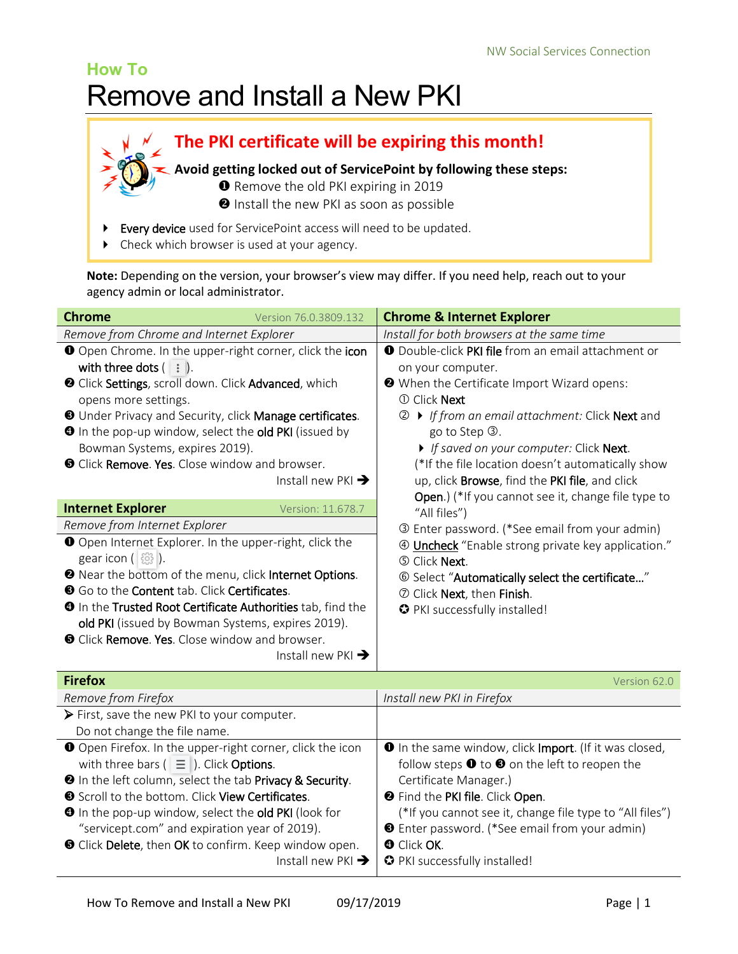# **How To** Remove and Install a New PKI

**The PKI certificate will be expiring this month! Avoid getting locked out of ServicePoint by following these steps:**

- **O** Remove the old PKI expiring in 2019
	- **O** Install the new PKI as soon as possible
- Every device used for ServicePoint access will need to be updated.
- ▶ Check which browser is used at your agency.

**Note:** Depending on the version, your browser's view may differ. If you need help, reach out to your agency admin or local administrator.

| <b>Chrome</b><br>Version 76.0.3809.132                                                                                                                                                                                                                                                                                                                                                                                                                                         | <b>Chrome &amp; Internet Explorer</b>                                                                                                                                                                                                                                                                                                                                                                                                              |
|--------------------------------------------------------------------------------------------------------------------------------------------------------------------------------------------------------------------------------------------------------------------------------------------------------------------------------------------------------------------------------------------------------------------------------------------------------------------------------|----------------------------------------------------------------------------------------------------------------------------------------------------------------------------------------------------------------------------------------------------------------------------------------------------------------------------------------------------------------------------------------------------------------------------------------------------|
| Remove from Chrome and Internet Explorer                                                                                                                                                                                                                                                                                                                                                                                                                                       | Install for both browsers at the same time                                                                                                                                                                                                                                                                                                                                                                                                         |
| O Open Chrome. In the upper-right corner, click the icon<br>with three dots $($ $\vdots$ $)$ .<br><sup>2</sup> Click Settings, scroll down. Click Advanced, which<br>opens more settings.<br><b>O</b> Under Privacy and Security, click Manage certificates.<br><b>O</b> In the pop-up window, select the old PKI (issued by<br>Bowman Systems, expires 2019).<br><b>O</b> Click <b>Remove. Yes.</b> Close window and browser.<br>Install new PKI $\rightarrow$                | <b>O</b> Double-click PKI file from an email attachment or<br>on your computer.<br><b>@</b> When the Certificate Import Wizard opens:<br><b>1</b> Click <b>Next</b><br>If from an email attachment: Click Next and<br>go to Step 3.<br>If saved on your computer: Click Next.<br>(*If the file location doesn't automatically show<br>up, click <b>Browse</b> , find the PKI file, and click<br>Open.) (*If you cannot see it, change file type to |
| <b>Internet Explorer</b><br>Version: 11.678.7                                                                                                                                                                                                                                                                                                                                                                                                                                  | "All files")                                                                                                                                                                                                                                                                                                                                                                                                                                       |
| Remove from Internet Explorer<br>O Open Internet Explorer. In the upper-right, click the<br>gear icon $( \S_3 )$ .<br><b>2</b> Near the bottom of the menu, click Internet Options.<br><b>O</b> Go to the <b>Content</b> tab. Click <b>Certificates</b> .<br><b>O</b> In the Trusted Root Certificate Authorities tab, find the<br>old PKI (issued by Bowman Systems, expires 2019).<br><b>O</b> Click Remove. Yes. Close window and browser.<br>Install new PKI $\rightarrow$ | <b>3</b> Enter password. (*See email from your admin)<br>Uncheck "Enable strong private key application."<br>$\circled{4}$<br><b>5 Click Next.</b><br>© Select "Automatically select the certificate"<br>2 Click Next, then Finish.<br>O PKI successfully installed!                                                                                                                                                                               |
| <b>Firefox</b>                                                                                                                                                                                                                                                                                                                                                                                                                                                                 | Version 62.0                                                                                                                                                                                                                                                                                                                                                                                                                                       |

| <b>Firefox</b>                                                  | Version 62.0                                                  |
|-----------------------------------------------------------------|---------------------------------------------------------------|
| Remove from Firefox                                             | Install new PKI in Firefox                                    |
| $\triangleright$ First, save the new PKI to your computer.      |                                                               |
| Do not change the file name.                                    |                                                               |
| O Open Firefox. In the upper-right corner, click the icon       | <b>O</b> In the same window, click Import. (If it was closed, |
| with three bars ( $\equiv$ ). Click Options.                    | follow steps $\bullet$ to $\bullet$ on the left to reopen the |
| <b>2</b> In the left column, select the tab Privacy & Security. | Certificate Manager.)                                         |
| Scroll to the bottom. Click View Certificates.                  | <b>@</b> Find the PKI file. Click Open.                       |
| <b>O</b> In the pop-up window, select the old PKI (look for     | (*If you cannot see it, change file type to "All files")      |
| "servicept.com" and expiration year of 2019).                   | <b>O</b> Enter password. (*See email from your admin)         |
| <b>O</b> Click Delete, then OK to confirm. Keep window open.    | <b>O</b> Click OK.                                            |
| Install new PKI $\rightarrow$                                   | O PKI successfully installed!                                 |
|                                                                 |                                                               |